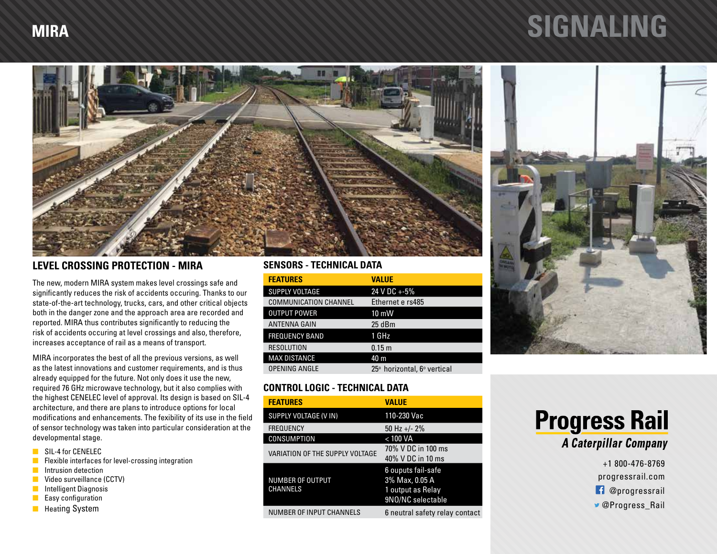## **MIRA SIGNALING**



### **LEVEL CROSSING PROTECTION - MIRA**

The new, modern MIRA system makes level crossings safe and significantly reduces the risk of accidents occuring. Thanks to our state-of-the-art technology, trucks, cars, and other critical objects both in the danger zone and the approach area are recorded and reported. MIRA thus contributes significantly to reducing the risk of accidents occuring at level crossings and also, therefore, increases acceptance of rail as a means of transport.

MIRA incorporates the best of all the previous versions, as well as the latest innovations and customer requirements, and is thus already equipped for the future. Not only does it use the new, required 76 GHz microwave technology, but it also complies with the highest CENELEC level of approval. Its design is based on SIL-4 architecture, and there are plans to introduce options for local modifications and enhancements. The fexibility of its use in the field of sensor technology was taken into particular consideration at the developmental stage.

- **N** SIL-4 for CENELEC
- $\blacksquare$  Flexible interfaces for level-crossing integration
- **n** Intrusion detection
- n Video surveillance (CCTV)
- **n** Intelligent Diagnosis
- $\blacksquare$  Easy configuration
- **n** Heating System

#### **SENSORS - TECHNICAL DATA**

| <b>FEATURES</b>              | VALUE                       |
|------------------------------|-----------------------------|
| <b>SUPPLY VOLTAGE</b>        | 24 V DC +-5%                |
| <b>COMMUNICATION CHANNEL</b> | Ethernet e rs485            |
| <b>OUTPUT POWER</b>          | $10 \text{ mW}$             |
| <b>ANTENNA GAIN</b>          | 25dBm                       |
| <b>FREQUENCY BAND</b>        | 1 GHz                       |
| <b>RESOLUTION</b>            | 0.15 <sub>m</sub>           |
| <b>MAX DISTANCE</b>          | 40 m                        |
| <b>OPENING ANGLE</b>         | 25° horizontal, 6° vertical |

### **CONTROL LOGIC - TECHNICAL DATA**

| <b>FEATURES</b>                            | VALUE                                                                          |
|--------------------------------------------|--------------------------------------------------------------------------------|
| SUPPLY VOLTAGE (V IN)                      | 110-230 Vac                                                                    |
| <b>FREQUENCY</b>                           | 50 Hz $+/- 2\%$                                                                |
| <b>CONSUMPTION</b>                         | < 100 VA                                                                       |
| VARIATION OF THE SUPPLY VOLTAGE            | 70% V DC in 100 ms<br>40% V DC in 10 ms                                        |
| <b>NUMBER OF OUTPUT</b><br><b>CHANNELS</b> | 6 ouputs fail-safe<br>3% Max, 0.05 A<br>1 output as Relay<br>9NO/NC selectable |
| <b>NUMBER OF INPUT CHANNELS</b>            | 6 neutral safety relay contact                                                 |



### **Progress Rail A Caterpillar Company**

+1 800-476-8769 progressrail.com **f** @progressrail @Progress\_Rail